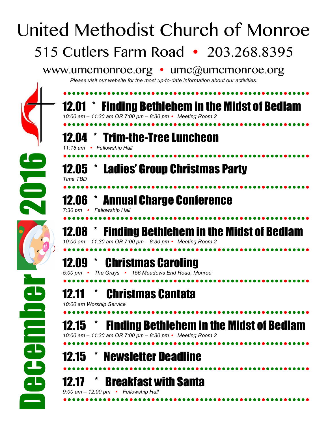